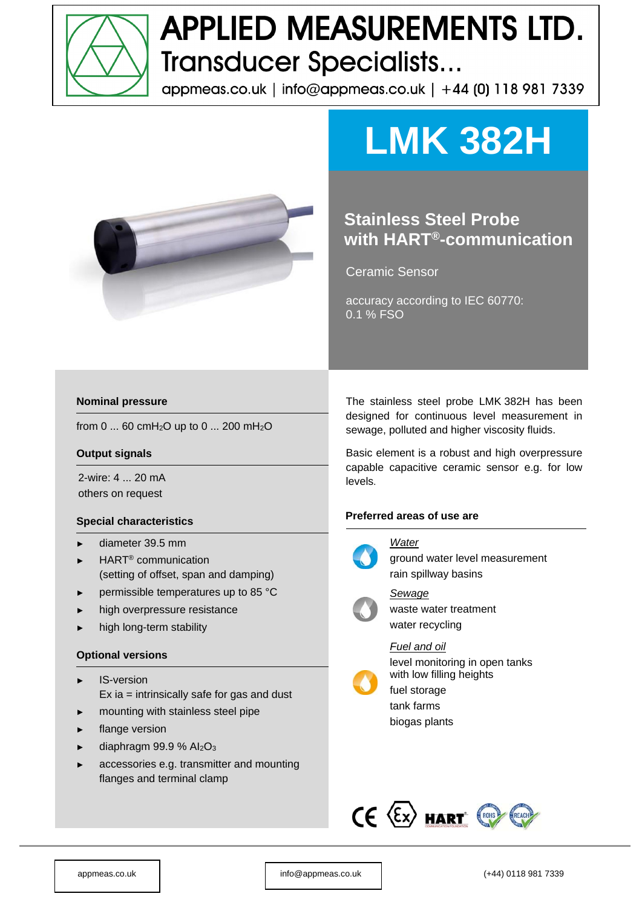

# **APPLIED MEASUREMENTS LTD. Transducer Specialists...**

appmeas.co.uk | info@appmeas.co.uk | +44 (0) 118 981 7339



# **LMK 382H**

## **Stainless Steel Probe with HART®-communication**

Ceramic Sensor

accuracy according to IEC 60770: 0.1 % FSO

#### **Nominal pressure**

from 0 ... 60 cmH2O up to 0 ... 200 mH2O

#### **Output signals**

2-wire: 4 ... 20 mA others on request

#### **Special characteristics**

- ► diameter 39.5 mm
- ► HART® communication (setting of offset, span and damping)
- permissible temperatures up to 85 °C
- high overpressure resistance
- high long-term stability

#### **Optional versions**

- ► IS-version Ex ia = intrinsically safe for gas and dust
- mounting with stainless steel pipe
- flange version
- diaphragm 99.9 %  $Al_2O_3$
- accessories e.g. transmitter and mounting flanges and terminal clamp

The stainless steel probe LMK 382H has been designed for continuous level measurement in sewage, polluted and higher viscosity fluids.

Basic element is a robust and high overpressure capable capacitive ceramic sensor e.g. for low levels.

#### **Preferred areas of use are**



*Water*  ground water level measurement rain spillway basins



*Sewage*  waste water treatment water recycling

*Fuel and oil* 



level monitoring in open tanks with low filling heights

fuel storage tank farms biogas plants

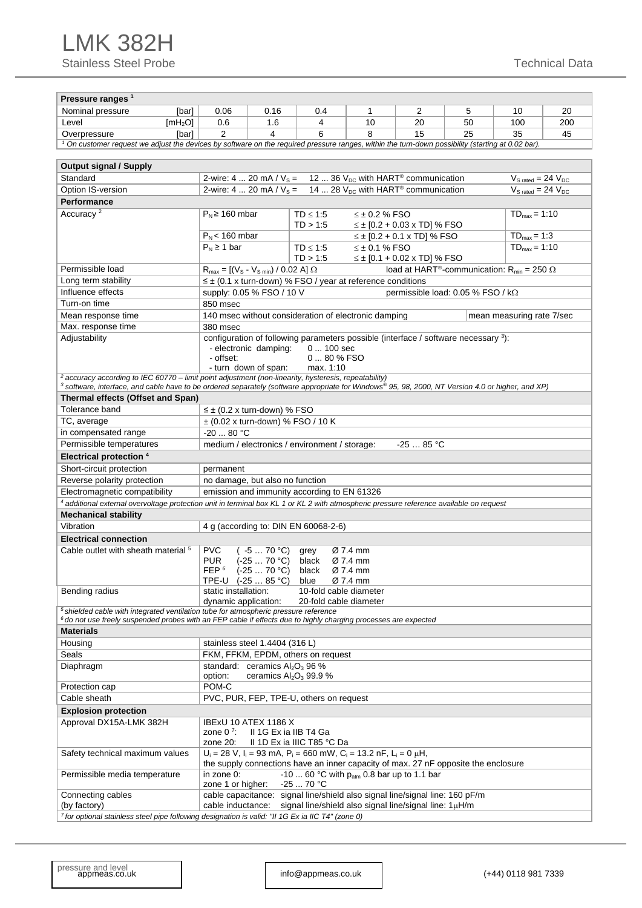| Pressure ranges <sup>1</sup>                                                                                                                                                                                                                                    |                                                                                                                                                                                            |                                                                                                                                                                                                       |                                                                                                                                                                        |                      |                                    |                                                                           |                                         |     |  |  |  |  |
|-----------------------------------------------------------------------------------------------------------------------------------------------------------------------------------------------------------------------------------------------------------------|--------------------------------------------------------------------------------------------------------------------------------------------------------------------------------------------|-------------------------------------------------------------------------------------------------------------------------------------------------------------------------------------------------------|------------------------------------------------------------------------------------------------------------------------------------------------------------------------|----------------------|------------------------------------|---------------------------------------------------------------------------|-----------------------------------------|-----|--|--|--|--|
| Nominal pressure<br>[bar]                                                                                                                                                                                                                                       | 0.06                                                                                                                                                                                       | 0.16                                                                                                                                                                                                  | 0.4                                                                                                                                                                    | 1                    | 2                                  | 5                                                                         | 10                                      | 20  |  |  |  |  |
| Level<br>[mH <sub>2</sub> O]                                                                                                                                                                                                                                    | 0.6                                                                                                                                                                                        | 1.6                                                                                                                                                                                                   | 4                                                                                                                                                                      | 10                   | 20                                 | 50                                                                        | 100                                     | 200 |  |  |  |  |
| Overpressure<br>[bar]                                                                                                                                                                                                                                           | 2                                                                                                                                                                                          | 25<br>4<br>6<br>8<br>15<br>35                                                                                                                                                                         |                                                                                                                                                                        |                      |                                    |                                                                           |                                         |     |  |  |  |  |
| $^1$ On customer request we adjust the devices by software on the required pressure ranges, within the turn-down possibility (starting at 0.02 bar).                                                                                                            |                                                                                                                                                                                            |                                                                                                                                                                                                       |                                                                                                                                                                        |                      |                                    |                                                                           |                                         |     |  |  |  |  |
|                                                                                                                                                                                                                                                                 |                                                                                                                                                                                            |                                                                                                                                                                                                       |                                                                                                                                                                        |                      |                                    |                                                                           |                                         |     |  |  |  |  |
| Output signal / Supply                                                                                                                                                                                                                                          |                                                                                                                                                                                            |                                                                                                                                                                                                       |                                                                                                                                                                        |                      |                                    |                                                                           |                                         |     |  |  |  |  |
| Standard                                                                                                                                                                                                                                                        |                                                                                                                                                                                            | 2-wire: 4  20 mA / $V_s = 12$ 36 $V_{DC}$ with HART <sup>®</sup> communication<br>$V_{S \text{ rated}} = 24 V_{DC}$<br>2-wire: 4  20 mA / $V_s = 14$ 28 $V_{DC}$ with HART <sup>®</sup> communication |                                                                                                                                                                        |                      |                                    |                                                                           |                                         |     |  |  |  |  |
| Option IS-version                                                                                                                                                                                                                                               |                                                                                                                                                                                            |                                                                                                                                                                                                       |                                                                                                                                                                        |                      |                                    |                                                                           | $V_{\text{S rated}} = 24 V_{\text{DC}}$ |     |  |  |  |  |
| Performance                                                                                                                                                                                                                                                     |                                                                                                                                                                                            |                                                                                                                                                                                                       |                                                                                                                                                                        |                      |                                    |                                                                           |                                         |     |  |  |  |  |
| Accuracy <sup>2</sup>                                                                                                                                                                                                                                           |                                                                                                                                                                                            | $P_N \ge 160$ mbar<br>$TD_{max} = 1:10$<br>$TD \leq 1:5$<br>$\leq$ ± 0.2 % FSO<br>TD > 1.5<br>$\leq \pm$ [0.2 + 0.03 x TD] % FSO                                                                      |                                                                                                                                                                        |                      |                                    |                                                                           |                                         |     |  |  |  |  |
|                                                                                                                                                                                                                                                                 | $P_N$ < 160 mbar                                                                                                                                                                           |                                                                                                                                                                                                       |                                                                                                                                                                        |                      | $\leq \pm$ [0.2 + 0.1 x TD] % FSO  |                                                                           | $TD_{max} = 1:3$                        |     |  |  |  |  |
|                                                                                                                                                                                                                                                                 | $P_N \geq 1$ bar                                                                                                                                                                           |                                                                                                                                                                                                       | $TD \leq 1:5$<br>TD > 1.5                                                                                                                                              | $\leq \pm 0.1$ % FSO | $\leq \pm$ [0.1 + 0.02 x TD] % FSO |                                                                           | $TD_{max} = 1:10$                       |     |  |  |  |  |
| Permissible load                                                                                                                                                                                                                                                | $R_{max} = [(V_s - V_{s,min}) / 0.02 A] \Omega$                                                                                                                                            |                                                                                                                                                                                                       |                                                                                                                                                                        |                      |                                    | load at HART <sup>®</sup> -communication: R <sub>min</sub> = 250 $\Omega$ |                                         |     |  |  |  |  |
| Long term stability                                                                                                                                                                                                                                             |                                                                                                                                                                                            |                                                                                                                                                                                                       | $\leq \pm$ (0.1 x turn-down) % FSO / year at reference conditions                                                                                                      |                      |                                    |                                                                           |                                         |     |  |  |  |  |
| Influence effects                                                                                                                                                                                                                                               | supply: 0.05 % FSO / 10 V                                                                                                                                                                  |                                                                                                                                                                                                       |                                                                                                                                                                        |                      |                                    | permissible load: 0.05 % FSO / kΩ                                         |                                         |     |  |  |  |  |
| Turn-on time                                                                                                                                                                                                                                                    | 850 msec                                                                                                                                                                                   |                                                                                                                                                                                                       |                                                                                                                                                                        |                      |                                    |                                                                           |                                         |     |  |  |  |  |
| Mean response time                                                                                                                                                                                                                                              |                                                                                                                                                                                            |                                                                                                                                                                                                       | 140 msec without consideration of electronic damping                                                                                                                   |                      |                                    |                                                                           | mean measuring rate 7/sec               |     |  |  |  |  |
| Max. response time                                                                                                                                                                                                                                              | 380 msec                                                                                                                                                                                   |                                                                                                                                                                                                       |                                                                                                                                                                        |                      |                                    |                                                                           |                                         |     |  |  |  |  |
| Adjustability                                                                                                                                                                                                                                                   | configuration of following parameters possible (interface / software necessary 3):<br>0  100 sec<br>- electronic damping:<br>- offset:<br>0  80 % FSO<br>- turn down of span:<br>max. 1:10 |                                                                                                                                                                                                       |                                                                                                                                                                        |                      |                                    |                                                                           |                                         |     |  |  |  |  |
| $2$ accuracy according to IEC 60770 – limit point adjustment (non-linearity, hysteresis, repeatability)<br>$^3$ software, interface, and cable have to be ordered separately (software appropriate for Windows® 95, 98, 2000, NT Version 4.0 or higher, and XP) |                                                                                                                                                                                            |                                                                                                                                                                                                       |                                                                                                                                                                        |                      |                                    |                                                                           |                                         |     |  |  |  |  |
| Thermal effects (Offset and Span)                                                                                                                                                                                                                               |                                                                                                                                                                                            |                                                                                                                                                                                                       |                                                                                                                                                                        |                      |                                    |                                                                           |                                         |     |  |  |  |  |
| Tolerance band                                                                                                                                                                                                                                                  |                                                                                                                                                                                            |                                                                                                                                                                                                       |                                                                                                                                                                        |                      |                                    |                                                                           |                                         |     |  |  |  |  |
| TC, average                                                                                                                                                                                                                                                     | $\leq \pm$ (0.2 x turn-down) % FSO                                                                                                                                                         |                                                                                                                                                                                                       | $\pm$ (0.02 x turn-down) % FSO / 10 K                                                                                                                                  |                      |                                    |                                                                           |                                         |     |  |  |  |  |
| in compensated range                                                                                                                                                                                                                                            | $-20$ 80 °C                                                                                                                                                                                |                                                                                                                                                                                                       |                                                                                                                                                                        |                      |                                    |                                                                           |                                         |     |  |  |  |  |
| Permissible temperatures                                                                                                                                                                                                                                        |                                                                                                                                                                                            |                                                                                                                                                                                                       | medium / electronics / environment / storage:                                                                                                                          |                      | $-2585 °C$                         |                                                                           |                                         |     |  |  |  |  |
| <b>Electrical protection 4</b>                                                                                                                                                                                                                                  |                                                                                                                                                                                            |                                                                                                                                                                                                       |                                                                                                                                                                        |                      |                                    |                                                                           |                                         |     |  |  |  |  |
|                                                                                                                                                                                                                                                                 |                                                                                                                                                                                            |                                                                                                                                                                                                       |                                                                                                                                                                        |                      |                                    |                                                                           |                                         |     |  |  |  |  |
| Short-circuit protection                                                                                                                                                                                                                                        | permanent                                                                                                                                                                                  |                                                                                                                                                                                                       |                                                                                                                                                                        |                      |                                    |                                                                           |                                         |     |  |  |  |  |
| Reverse polarity protection                                                                                                                                                                                                                                     | no damage, but also no function                                                                                                                                                            |                                                                                                                                                                                                       |                                                                                                                                                                        |                      |                                    |                                                                           |                                         |     |  |  |  |  |
| Electromagnetic compatibility                                                                                                                                                                                                                                   |                                                                                                                                                                                            |                                                                                                                                                                                                       | emission and immunity according to EN 61326                                                                                                                            |                      |                                    |                                                                           |                                         |     |  |  |  |  |
| 4 additional external overvoltage protection unit in terminal box KL 1 or KL 2 with atmospheric pressure reference available on request                                                                                                                         |                                                                                                                                                                                            |                                                                                                                                                                                                       |                                                                                                                                                                        |                      |                                    |                                                                           |                                         |     |  |  |  |  |
| <b>Mechanical stability</b>                                                                                                                                                                                                                                     |                                                                                                                                                                                            |                                                                                                                                                                                                       |                                                                                                                                                                        |                      |                                    |                                                                           |                                         |     |  |  |  |  |
| Vibration                                                                                                                                                                                                                                                       |                                                                                                                                                                                            |                                                                                                                                                                                                       | 4 g (according to: DIN EN 60068-2-6)                                                                                                                                   |                      |                                    |                                                                           |                                         |     |  |  |  |  |
| <b>Electrical connection</b>                                                                                                                                                                                                                                    |                                                                                                                                                                                            |                                                                                                                                                                                                       |                                                                                                                                                                        |                      |                                    |                                                                           |                                         |     |  |  |  |  |
| Cable outlet with sheath material <sup>5</sup>                                                                                                                                                                                                                  | <b>PVC</b><br>Ø 7.4 mm<br>( -5 … 70 °C)<br>grey<br>$(-2570 °C)$<br>Ø 7.4 mm<br>PUR.<br>black<br>FEP $6$<br>$(-2570 °C)$<br>black<br>Ø 7.4 mm<br>TPE-U (-25  85 °C)<br>Ø 7.4 mm<br>blue     |                                                                                                                                                                                                       |                                                                                                                                                                        |                      |                                    |                                                                           |                                         |     |  |  |  |  |
| Bending radius                                                                                                                                                                                                                                                  | static installation:<br>dynamic application:                                                                                                                                               |                                                                                                                                                                                                       | 10-fold cable diameter<br>20-fold cable diameter                                                                                                                       |                      |                                    |                                                                           |                                         |     |  |  |  |  |
| $5$ shielded cable with integrated ventilation tube for atmospheric pressure reference<br>$^6$ do not use freely suspended probes with an FEP cable if effects due to highly charging processes are expected                                                    |                                                                                                                                                                                            |                                                                                                                                                                                                       |                                                                                                                                                                        |                      |                                    |                                                                           |                                         |     |  |  |  |  |
| Materials                                                                                                                                                                                                                                                       |                                                                                                                                                                                            |                                                                                                                                                                                                       |                                                                                                                                                                        |                      |                                    |                                                                           |                                         |     |  |  |  |  |
| Housing                                                                                                                                                                                                                                                         | stainless steel 1.4404 (316 L)                                                                                                                                                             |                                                                                                                                                                                                       |                                                                                                                                                                        |                      |                                    |                                                                           |                                         |     |  |  |  |  |
| Seals                                                                                                                                                                                                                                                           |                                                                                                                                                                                            |                                                                                                                                                                                                       | FKM, FFKM, EPDM, others on request                                                                                                                                     |                      |                                    |                                                                           |                                         |     |  |  |  |  |
| Diaphragm                                                                                                                                                                                                                                                       | standard: ceramics $Al_2O_3$ 96 %<br>option:                                                                                                                                               |                                                                                                                                                                                                       | ceramics $Al_2O_3$ 99.9 %                                                                                                                                              |                      |                                    |                                                                           |                                         |     |  |  |  |  |
| Protection cap                                                                                                                                                                                                                                                  | $POM-C$                                                                                                                                                                                    |                                                                                                                                                                                                       |                                                                                                                                                                        |                      |                                    |                                                                           |                                         |     |  |  |  |  |
| Cable sheath                                                                                                                                                                                                                                                    |                                                                                                                                                                                            |                                                                                                                                                                                                       | PVC, PUR, FEP, TPE-U, others on request                                                                                                                                |                      |                                    |                                                                           |                                         |     |  |  |  |  |
| <b>Explosion protection</b>                                                                                                                                                                                                                                     |                                                                                                                                                                                            |                                                                                                                                                                                                       |                                                                                                                                                                        |                      |                                    |                                                                           |                                         |     |  |  |  |  |
| Approval DX15A-LMK 382H                                                                                                                                                                                                                                         | IBExU 10 ATEX 1186 X<br>zone $07$ :                                                                                                                                                        | II 1G Ex ia IIB T4 Ga                                                                                                                                                                                 |                                                                                                                                                                        |                      |                                    |                                                                           |                                         |     |  |  |  |  |
|                                                                                                                                                                                                                                                                 | zone 20:                                                                                                                                                                                   |                                                                                                                                                                                                       | II 1D Ex ia IIIC T85 °C Da                                                                                                                                             |                      |                                    |                                                                           |                                         |     |  |  |  |  |
| Safety technical maximum values                                                                                                                                                                                                                                 |                                                                                                                                                                                            |                                                                                                                                                                                                       | $U_i = 28$ V, $I_i = 93$ mA, $P_i = 660$ mW, $C_i = 13.2$ nF, $L_i = 0$ $\mu$ H,<br>the supply connections have an inner capacity of max. 27 nF opposite the enclosure |                      |                                    |                                                                           |                                         |     |  |  |  |  |
| Permissible media temperature                                                                                                                                                                                                                                   | in zone 0:<br>zone 1 or higher:                                                                                                                                                            |                                                                                                                                                                                                       | -10  60 °C with $p_{atm}$ 0.8 bar up to 1.1 bar<br>$-2570 °C$                                                                                                          |                      |                                    |                                                                           |                                         |     |  |  |  |  |
| Connecting cables<br>(by factory)                                                                                                                                                                                                                               | cable capacitance: signal line/shield also signal line/signal line: 160 pF/m<br>cable inductance:<br>signal line/shield also signal line/signal line: 1µH/m                                |                                                                                                                                                                                                       |                                                                                                                                                                        |                      |                                    |                                                                           |                                         |     |  |  |  |  |
| <sup>7</sup> for optional stainless steel pipe following designation is valid: "II 1G Ex ia IIC T4" (zone 0)                                                                                                                                                    |                                                                                                                                                                                            |                                                                                                                                                                                                       |                                                                                                                                                                        |                      |                                    |                                                                           |                                         |     |  |  |  |  |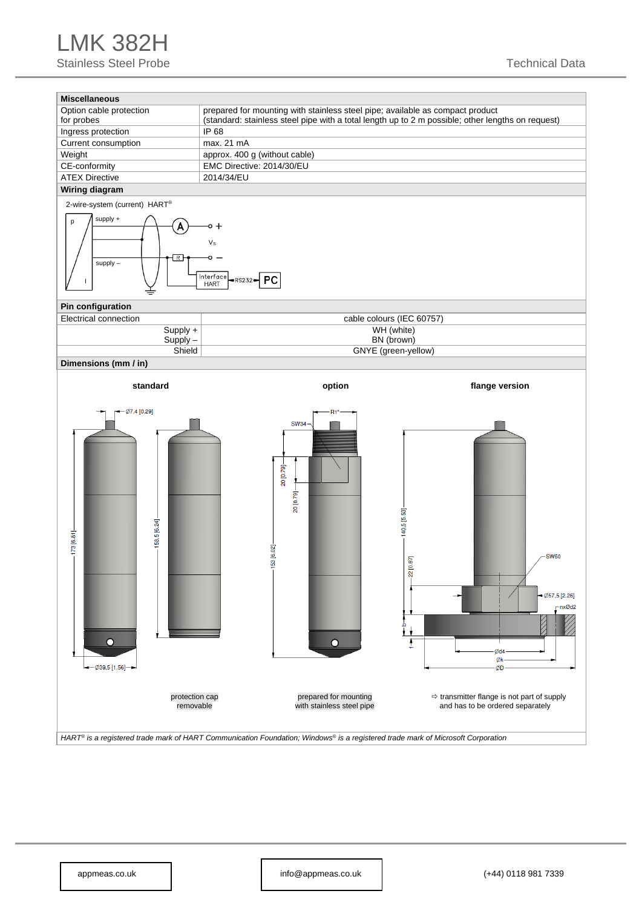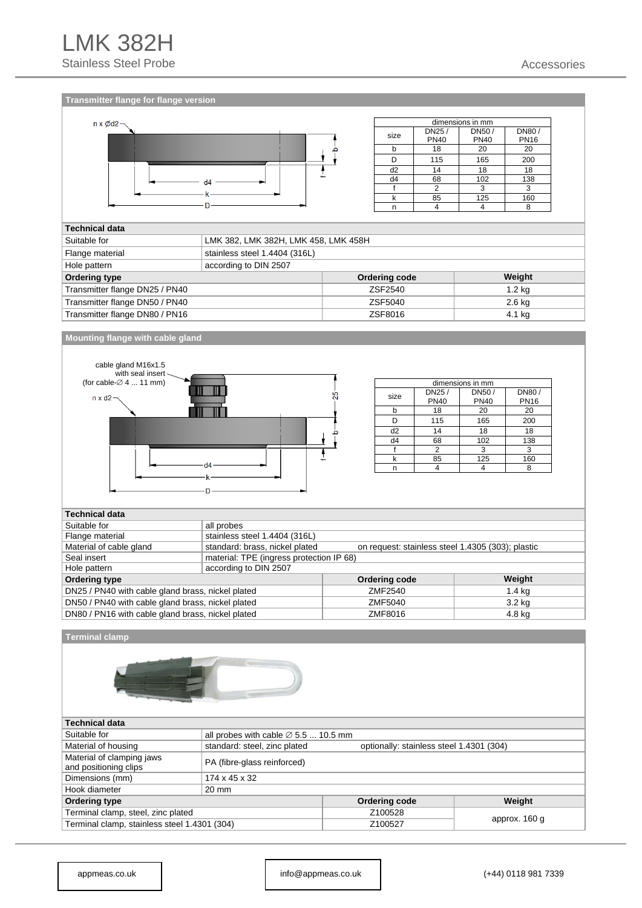



| dimensions in mm |             |             |             |  |  |  |  |  |  |
|------------------|-------------|-------------|-------------|--|--|--|--|--|--|
| size             | DN25/       | DN50/       | DN80/       |  |  |  |  |  |  |
|                  | <b>PN40</b> | <b>PN40</b> | <b>PN16</b> |  |  |  |  |  |  |
| b                | 18          | 20          | 20          |  |  |  |  |  |  |
|                  | 115         | 165         | 200         |  |  |  |  |  |  |
| d2               | 14          | 18          | 18          |  |  |  |  |  |  |
| d4               | 68          | 102         | 138         |  |  |  |  |  |  |
|                  | 2           | 3           | 3           |  |  |  |  |  |  |
| k                | 85          | 125         | 160         |  |  |  |  |  |  |
|                  |             |             | o           |  |  |  |  |  |  |

### **Technical data**

| Suitable for                   | LMK 382, LMK 382H, LMK 458, LMK 458H |               |                   |  |  |  |  |  |  |  |
|--------------------------------|--------------------------------------|---------------|-------------------|--|--|--|--|--|--|--|
| Flange material                | stainless steel 1.4404 (316L)        |               |                   |  |  |  |  |  |  |  |
| Hole pattern                   | according to DIN 2507                |               |                   |  |  |  |  |  |  |  |
| Ordering type                  |                                      | Ordering code | Weight            |  |  |  |  |  |  |  |
| Transmitter flange DN25 / PN40 |                                      | ZSF2540       | 1.2 <sub>kq</sub> |  |  |  |  |  |  |  |
| Transmitter flange DN50 / PN40 |                                      | ZSF5040       | $2.6$ kg          |  |  |  |  |  |  |  |
| Transmitter flange DN80 / PN16 |                                      | ZSF8016       | 4.1 kg            |  |  |  |  |  |  |  |

#### **Mounting flange with cable gland**



| dimensions in mm |             |             |             |  |  |  |  |  |  |  |
|------------------|-------------|-------------|-------------|--|--|--|--|--|--|--|
| size             | DN25/       | DN50/       | DN80/       |  |  |  |  |  |  |  |
|                  | <b>PN40</b> | <b>PN40</b> | <b>PN16</b> |  |  |  |  |  |  |  |
|                  | 18          | 20          | 20          |  |  |  |  |  |  |  |
|                  | 115         | 165         | 200         |  |  |  |  |  |  |  |
| d <sub>2</sub>   | 14          | 18          | 18          |  |  |  |  |  |  |  |
| d4               | 68          | 102         | 138         |  |  |  |  |  |  |  |
|                  | 2           | 3           | 3           |  |  |  |  |  |  |  |
|                  | 85          | 125         | 160         |  |  |  |  |  |  |  |
|                  |             |             |             |  |  |  |  |  |  |  |

#### **Technical data**

| rechnical uala                                                         |                                                                                     |         |        |  |  |  |  |  |  |  |  |
|------------------------------------------------------------------------|-------------------------------------------------------------------------------------|---------|--------|--|--|--|--|--|--|--|--|
| Suitable for                                                           | all probes                                                                          |         |        |  |  |  |  |  |  |  |  |
| Flange material                                                        | stainless steel 1.4404 (316L)                                                       |         |        |  |  |  |  |  |  |  |  |
| Material of cable gland                                                | standard: brass, nickel plated<br>on request: stainless steel 1.4305 (303); plastic |         |        |  |  |  |  |  |  |  |  |
| Seal insert                                                            | material: TPE (ingress protection IP 68)                                            |         |        |  |  |  |  |  |  |  |  |
| Hole pattern                                                           | according to DIN 2507                                                               |         |        |  |  |  |  |  |  |  |  |
| Weight<br>Ordering type<br>Ordering code                               |                                                                                     |         |        |  |  |  |  |  |  |  |  |
| DN25 / PN40 with cable gland brass, nickel plated                      | $1.4$ kg                                                                            |         |        |  |  |  |  |  |  |  |  |
| DN50 / PN40 with cable gland brass, nickel plated                      |                                                                                     | ZMF5040 | 3.2 kg |  |  |  |  |  |  |  |  |
| DN80 / PN16 with cable gland brass, nickel plated<br>ZMF8016<br>4.8 kg |                                                                                     |         |        |  |  |  |  |  |  |  |  |

#### **Terminal clamp**



#### **Technical data**

| Technical data                                                           |                                                                          |               |        |  |  |  |  |  |  |  |
|--------------------------------------------------------------------------|--------------------------------------------------------------------------|---------------|--------|--|--|--|--|--|--|--|
| Suitable for                                                             | all probes with cable $\varnothing$ 5.5  10.5 mm                         |               |        |  |  |  |  |  |  |  |
| Material of housing                                                      | standard: steel, zinc plated<br>optionally: stainless steel 1.4301 (304) |               |        |  |  |  |  |  |  |  |
| Material of clamping jaws<br>and positioning clips                       | PA (fibre-glass reinforced)                                              |               |        |  |  |  |  |  |  |  |
| Dimensions (mm)                                                          | 174 x 45 x 32                                                            |               |        |  |  |  |  |  |  |  |
| Hook diameter                                                            | 20 mm                                                                    |               |        |  |  |  |  |  |  |  |
| Ordering type                                                            |                                                                          | Ordering code | Weight |  |  |  |  |  |  |  |
| Terminal clamp, steel, zinc plated                                       |                                                                          | Z100528       |        |  |  |  |  |  |  |  |
| approx. 160 g<br>Terminal clamp, stainless steel 1.4301 (304)<br>Z100527 |                                                                          |               |        |  |  |  |  |  |  |  |